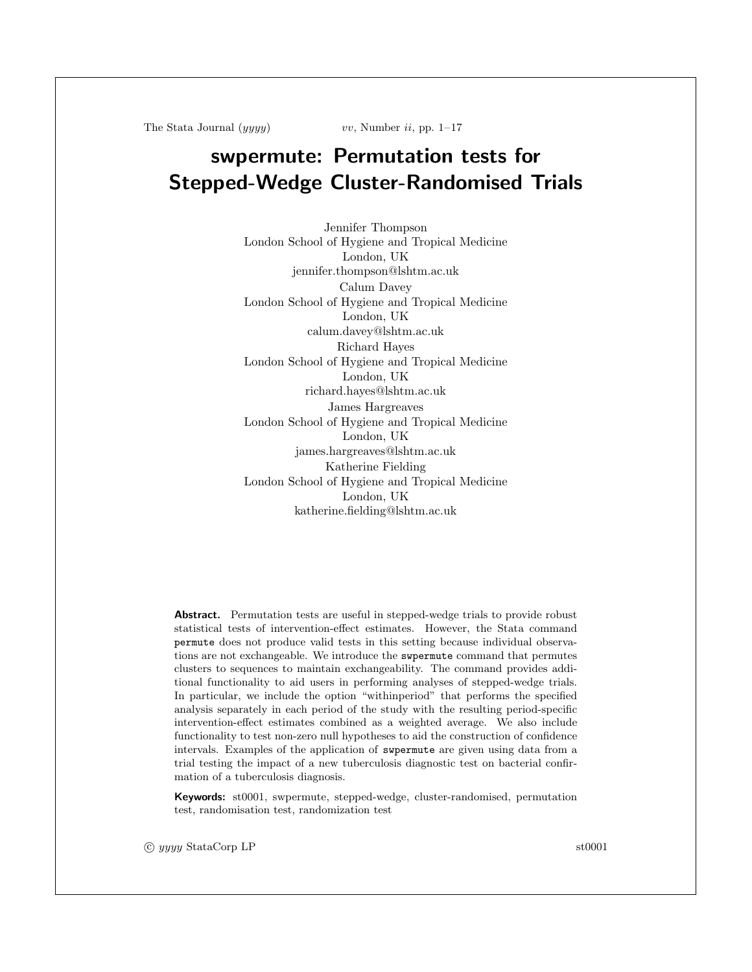The Stata Journal  $(yyyy)$  vv, Number ii, pp. 1–17

# swpermute: Permutation tests for Stepped-Wedge Cluster-Randomised Trials

Jennifer Thompson London School of Hygiene and Tropical Medicine London, UK jennifer.thompson@lshtm.ac.uk Calum Davey London School of Hygiene and Tropical Medicine London, UK calum.davey@lshtm.ac.uk Richard Hayes London School of Hygiene and Tropical Medicine London, UK richard.hayes@lshtm.ac.uk James Hargreaves London School of Hygiene and Tropical Medicine London, UK james.hargreaves@lshtm.ac.uk Katherine Fielding London School of Hygiene and Tropical Medicine London, UK katherine.fielding@lshtm.ac.uk

Abstract. Permutation tests are useful in stepped-wedge trials to provide robust statistical tests of intervention-effect estimates. However, the Stata command permute does not produce valid tests in this setting because individual observations are not exchangeable. We introduce the swpermute command that permutes clusters to sequences to maintain exchangeability. The command provides additional functionality to aid users in performing analyses of stepped-wedge trials. In particular, we include the option "withinperiod" that performs the specified analysis separately in each period of the study with the resulting period-specific intervention-effect estimates combined as a weighted average. We also include functionality to test non-zero null hypotheses to aid the construction of confidence intervals. Examples of the application of swpermute are given using data from a trial testing the impact of a new tuberculosis diagnostic test on bacterial confirmation of a tuberculosis diagnosis.

Keywords: st0001, swpermute, stepped-wedge, cluster-randomised, permutation test, randomisation test, randomization test

c yyyy StataCorp LP st0001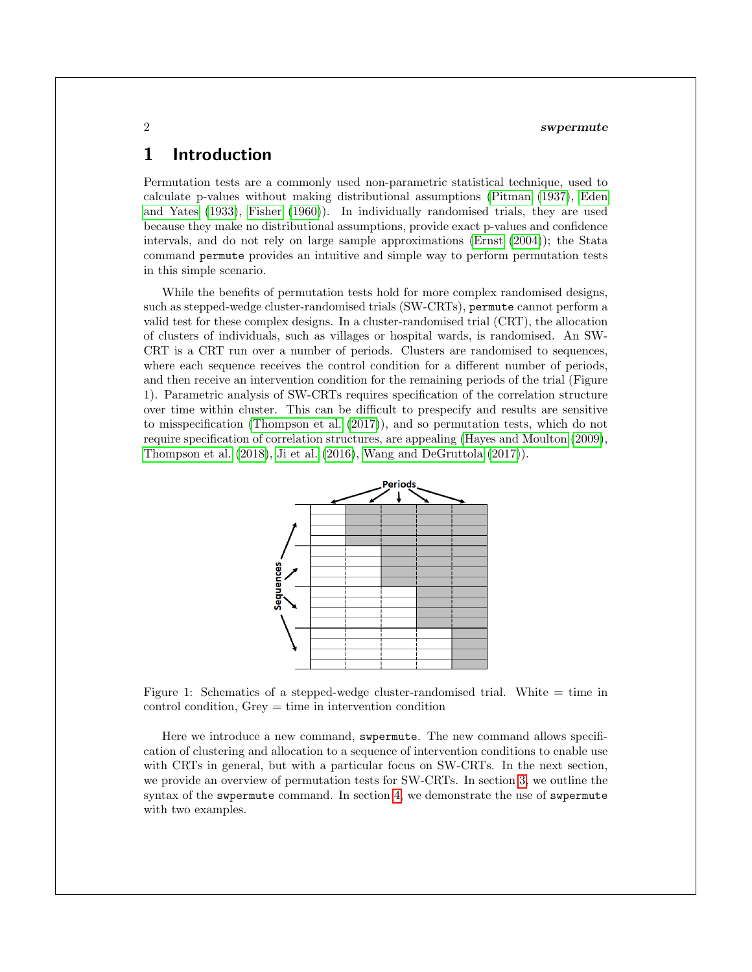## 1 Introduction

Permutation tests are a commonly used non-parametric statistical technique, used to calculate p-values without making distributional assumptions [\(Pitman](#page-13-0) [\(1937\)](#page-13-0), [Eden](#page-13-1) [and Yates](#page-13-1) [\(1933\)](#page-13-1), [Fisher](#page-13-2) [\(1960\)](#page-13-2)). In individually randomised trials, they are used because they make no distributional assumptions, provide exact p-values and confidence intervals, and do not rely on large sample approximations [\(Ernst](#page-13-3) [\(2004\)](#page-13-3)); the Stata command permute provides an intuitive and simple way to perform permutation tests in this simple scenario.

While the benefits of permutation tests hold for more complex randomised designs, such as stepped-wedge cluster-randomised trials (SW-CRTs), permute cannot perform a valid test for these complex designs. In a cluster-randomised trial (CRT), the allocation of clusters of individuals, such as villages or hospital wards, is randomised. An SW-CRT is a CRT run over a number of periods. Clusters are randomised to sequences, where each sequence receives the control condition for a different number of periods, and then receive an intervention condition for the remaining periods of the trial (Figure 1). Parametric analysis of SW-CRTs requires specification of the correlation structure over time within cluster. This can be difficult to prespecify and results are sensitive to misspecification [\(Thompson et al.](#page-14-0) [\(2017\)](#page-14-0)), and so permutation tests, which do not require specification of correlation structures, are appealing [\(Hayes and Moulton](#page-13-4) [\(2009\)](#page-13-4), [Thompson et al.](#page-14-1) [\(2018\)](#page-14-1), [Ji et al.](#page-13-5) [\(2016\)](#page-13-5), [Wang and DeGruttola](#page-14-2) [\(2017\)](#page-14-2)).



Figure 1: Schematics of a stepped-wedge cluster-randomised trial. White  $=$  time in control condition, Grey = time in intervention condition

Here we introduce a new command, swpermute. The new command allows specification of clustering and allocation to a sequence of intervention conditions to enable use with CRTs in general, but with a particular focus on SW-CRTs. In the next section, we provide an overview of permutation tests for SW-CRTs. In section [3,](#page-3-0) we outline the syntax of the swpermute command. In section [4,](#page-7-0) we demonstrate the use of swpermute with two examples.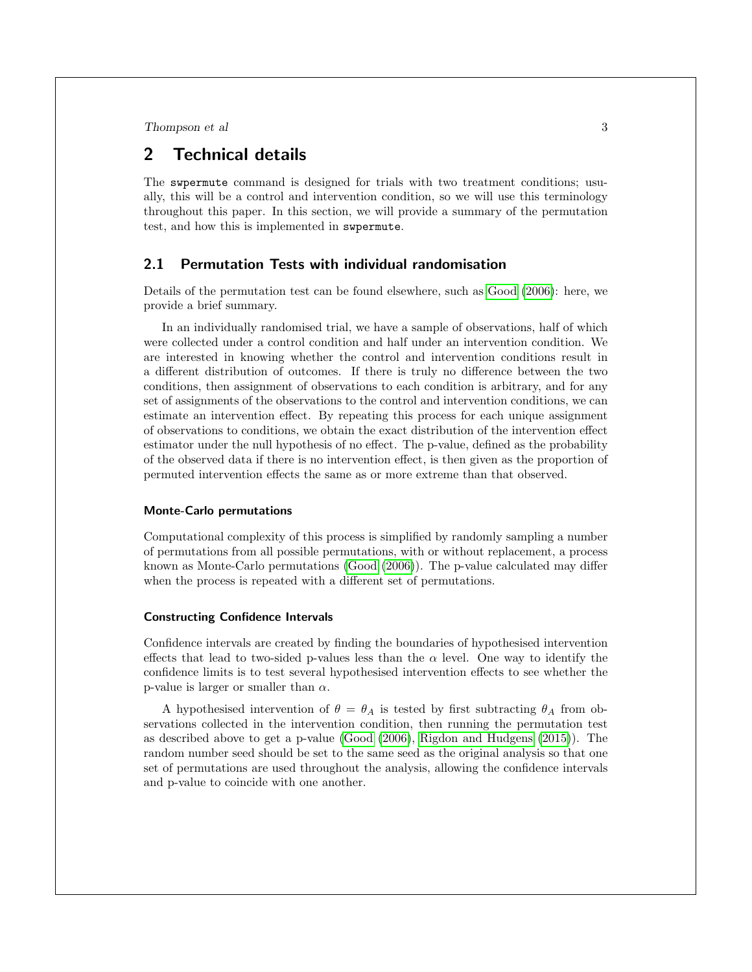## 2 Technical details

The swpermute command is designed for trials with two treatment conditions; usually, this will be a control and intervention condition, so we will use this terminology throughout this paper. In this section, we will provide a summary of the permutation test, and how this is implemented in swpermute.

#### 2.1 Permutation Tests with individual randomisation

Details of the permutation test can be found elsewhere, such as [Good](#page-13-6) [\(2006\)](#page-13-6): here, we provide a brief summary.

In an individually randomised trial, we have a sample of observations, half of which were collected under a control condition and half under an intervention condition. We are interested in knowing whether the control and intervention conditions result in a different distribution of outcomes. If there is truly no difference between the two conditions, then assignment of observations to each condition is arbitrary, and for any set of assignments of the observations to the control and intervention conditions, we can estimate an intervention effect. By repeating this process for each unique assignment of observations to conditions, we obtain the exact distribution of the intervention effect estimator under the null hypothesis of no effect. The p-value, defined as the probability of the observed data if there is no intervention effect, is then given as the proportion of permuted intervention effects the same as or more extreme than that observed.

#### Monte-Carlo permutations

Computational complexity of this process is simplified by randomly sampling a number of permutations from all possible permutations, with or without replacement, a process known as Monte-Carlo permutations [\(Good](#page-13-6) [\(2006\)](#page-13-6)). The p-value calculated may differ when the process is repeated with a different set of permutations.

#### Constructing Confidence Intervals

Confidence intervals are created by finding the boundaries of hypothesised intervention effects that lead to two-sided p-values less than the  $\alpha$  level. One way to identify the confidence limits is to test several hypothesised intervention effects to see whether the p-value is larger or smaller than  $\alpha$ .

A hypothesised intervention of  $\theta = \theta_A$  is tested by first subtracting  $\theta_A$  from observations collected in the intervention condition, then running the permutation test as described above to get a p-value [\(Good](#page-13-6) [\(2006\)](#page-13-6), [Rigdon and Hudgens](#page-13-7) [\(2015\)](#page-13-7)). The random number seed should be set to the same seed as the original analysis so that one set of permutations are used throughout the analysis, allowing the confidence intervals and p-value to coincide with one another.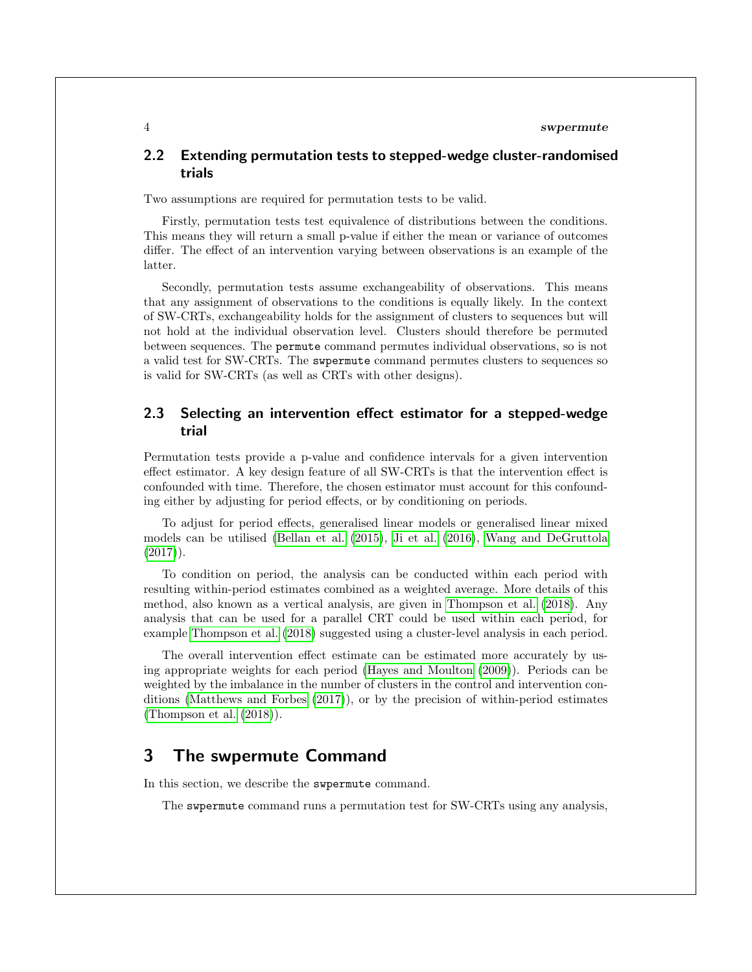### 2.2 Extending permutation tests to stepped-wedge cluster-randomised trials

Two assumptions are required for permutation tests to be valid.

Firstly, permutation tests test equivalence of distributions between the conditions. This means they will return a small p-value if either the mean or variance of outcomes differ. The effect of an intervention varying between observations is an example of the latter.

Secondly, permutation tests assume exchangeability of observations. This means that any assignment of observations to the conditions is equally likely. In the context of SW-CRTs, exchangeability holds for the assignment of clusters to sequences but will not hold at the individual observation level. Clusters should therefore be permuted between sequences. The permute command permutes individual observations, so is not a valid test for SW-CRTs. The swpermute command permutes clusters to sequences so is valid for SW-CRTs (as well as CRTs with other designs).

#### 2.3 Selecting an intervention effect estimator for a stepped-wedge trial

Permutation tests provide a p-value and confidence intervals for a given intervention effect estimator. A key design feature of all SW-CRTs is that the intervention effect is confounded with time. Therefore, the chosen estimator must account for this confounding either by adjusting for period effects, or by conditioning on periods.

To adjust for period effects, generalised linear models or generalised linear mixed models can be utilised [\(Bellan et al.](#page-13-8) [\(2015\)](#page-13-8), [Ji et al.](#page-13-5) [\(2016\)](#page-13-5), [Wang and DeGruttola](#page-14-2)  $(2017)$ .

To condition on period, the analysis can be conducted within each period with resulting within-period estimates combined as a weighted average. More details of this method, also known as a vertical analysis, are given in [Thompson et al.](#page-14-1) [\(2018\)](#page-14-1). Any analysis that can be used for a parallel CRT could be used within each period, for example [Thompson et al.](#page-14-1) [\(2018\)](#page-14-1) suggested using a cluster-level analysis in each period.

The overall intervention effect estimate can be estimated more accurately by using appropriate weights for each period [\(Hayes and Moulton](#page-13-4) [\(2009\)](#page-13-4)). Periods can be weighted by the imbalance in the number of clusters in the control and intervention conditions [\(Matthews and Forbes](#page-13-9) [\(2017\)](#page-13-9)), or by the precision of within-period estimates [\(Thompson et al.](#page-14-1) [\(2018\)](#page-14-1)).

## <span id="page-3-0"></span>3 The swpermute Command

In this section, we describe the swpermute command.

The swpermute command runs a permutation test for SW-CRTs using any analysis,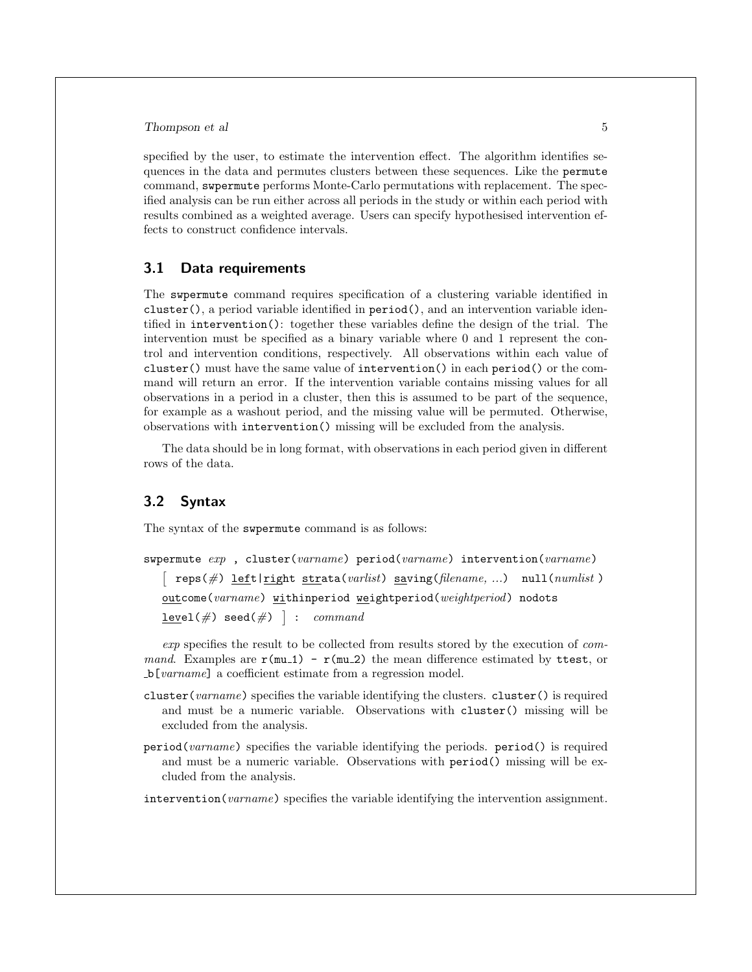specified by the user, to estimate the intervention effect. The algorithm identifies sequences in the data and permutes clusters between these sequences. Like the permute command, swpermute performs Monte-Carlo permutations with replacement. The specified analysis can be run either across all periods in the study or within each period with results combined as a weighted average. Users can specify hypothesised intervention effects to construct confidence intervals.

#### 3.1 Data requirements

The swpermute command requires specification of a clustering variable identified in cluster(), a period variable identified in period(), and an intervention variable identified in intervention(): together these variables define the design of the trial. The intervention must be specified as a binary variable where 0 and 1 represent the control and intervention conditions, respectively. All observations within each value of cluster() must have the same value of intervention() in each period() or the command will return an error. If the intervention variable contains missing values for all observations in a period in a cluster, then this is assumed to be part of the sequence, for example as a washout period, and the missing value will be permuted. Otherwise, observations with intervention() missing will be excluded from the analysis.

The data should be in long format, with observations in each period given in different rows of the data.

#### 3.2 Syntax

The syntax of the swpermute command is as follows:

```
swpermute exp , cluster(varname) period(varname) intervention(varname)
   \sqrt{2}reps(\#) left|right strata(varlist) saving(filename, ...) null(numlist)
   outcome(varname) withinperiod weightperiod(weightperiod) nodots
   \underline{\texttt{level}}(\#) seed(\#) ] : \emph{command}
```
exp specifies the result to be collected from results stored by the execution of command. Examples are  $r(\mu 1) - r(\mu 2)$  the mean difference estimated by ttest, or b[varname] a coefficient estimate from a regression model.

- cluster(varname) specifies the variable identifying the clusters. cluster() is required and must be a numeric variable. Observations with cluster() missing will be excluded from the analysis.
- period(varname) specifies the variable identifying the periods. period() is required and must be a numeric variable. Observations with period() missing will be excluded from the analysis.

intervention (*varname*) specifies the variable identifying the intervention assignment.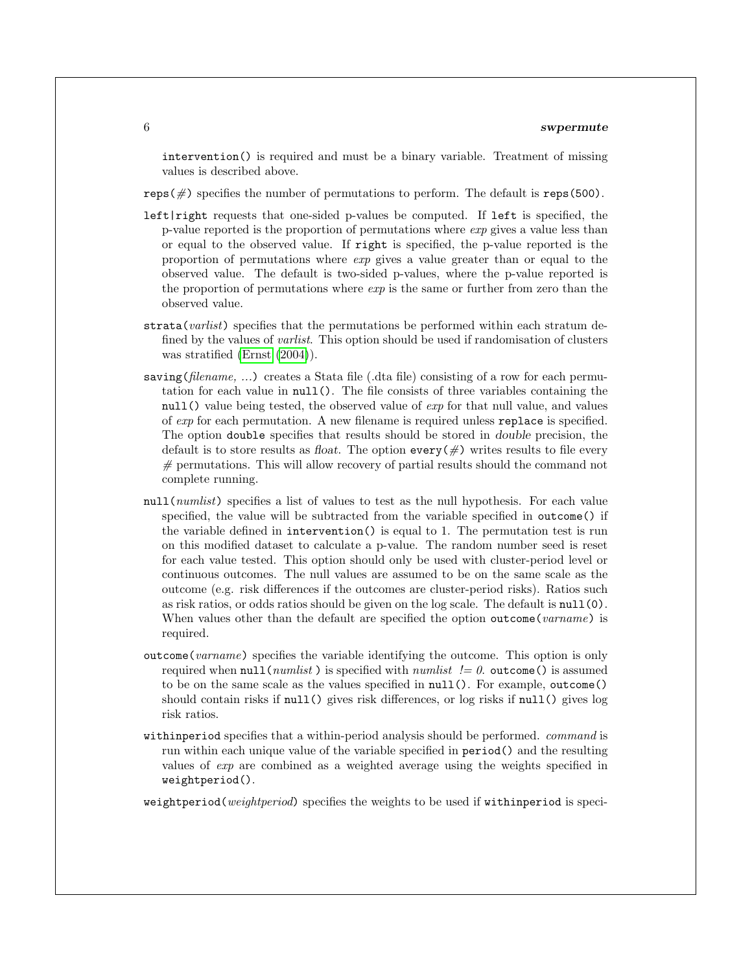intervention() is required and must be a binary variable. Treatment of missing values is described above.

 $reps(\#)$  specifies the number of permutations to perform. The default is  $reps(500)$ .

- left|right requests that one-sided p-values be computed. If left is specified, the p-value reported is the proportion of permutations where exp gives a value less than or equal to the observed value. If right is specified, the p-value reported is the proportion of permutations where  $exp$  gives a value greater than or equal to the observed value. The default is two-sided p-values, where the p-value reported is the proportion of permutations where  $exp$  is the same or further from zero than the observed value.
- strata(*varlist*) specifies that the permutations be performed within each stratum defined by the values of *varlist*. This option should be used if randomisation of clusters was stratified [\(Ernst](#page-13-3) [\(2004\)](#page-13-3)).
- saving (filename, ...) creates a Stata file (.dta file) consisting of a row for each permutation for each value in null(). The file consists of three variables containing the null() value being tested, the observed value of *exp* for that null value, and values of exp for each permutation. A new filename is required unless replace is specified. The option double specifies that results should be stored in double precision, the default is to store results as float. The option every  $(\#)$  writes results to file every  $#$  permutations. This will allow recovery of partial results should the command not complete running.
- null(*numlist*) specifies a list of values to test as the null hypothesis. For each value specified, the value will be subtracted from the variable specified in outcome() if the variable defined in intervention() is equal to 1. The permutation test is run on this modified dataset to calculate a p-value. The random number seed is reset for each value tested. This option should only be used with cluster-period level or continuous outcomes. The null values are assumed to be on the same scale as the outcome (e.g. risk differences if the outcomes are cluster-period risks). Ratios such as risk ratios, or odds ratios should be given on the log scale. The default is null(0). When values other than the default are specified the option outcome (varname) is required.
- outcome(varname) specifies the variable identifying the outcome. This option is only required when  $null(numlist)$  is specified with numlist  $!= 0$ . outcome() is assumed to be on the same scale as the values specified in null(). For example, outcome() should contain risks if null() gives risk differences, or log risks if null() gives log risk ratios.
- withinperiod specifies that a within-period analysis should be performed. command is run within each unique value of the variable specified in period() and the resulting values of exp are combined as a weighted average using the weights specified in weightperiod().

weightperiod(weightperiod) specifies the weights to be used if withinperiod is speci-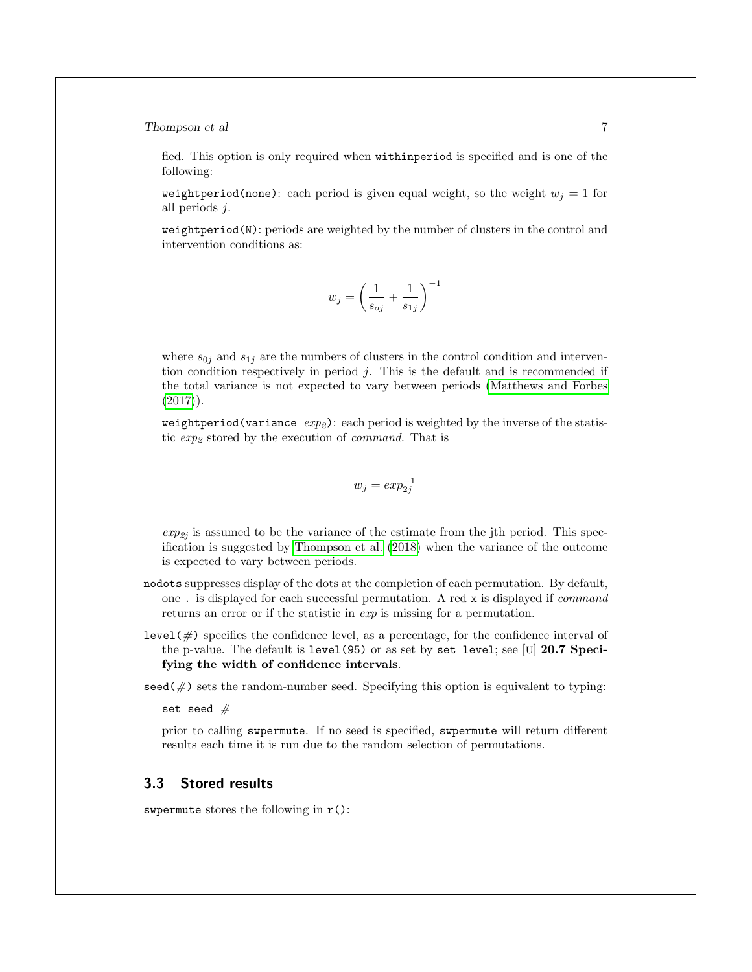Thompson et al  $\qquad \qquad$  7

fied. This option is only required when withinperiod is specified and is one of the following:

weightperiod(none): each period is given equal weight, so the weight  $w<sub>i</sub> = 1$  for all periods j.

weightperiod(N): periods are weighted by the number of clusters in the control and intervention conditions as:

$$
w_j = \left(\frac{1}{s_{oj}} + \frac{1}{s_{1j}}\right)^{-1}
$$

where  $s_{0j}$  and  $s_{1j}$  are the numbers of clusters in the control condition and intervention condition respectively in period j. This is the default and is recommended if the total variance is not expected to vary between periods [\(Matthews and Forbes](#page-13-9)  $(2017)$ .

weightperiod(variance  $exp<sub>2</sub>$ ): each period is weighted by the inverse of the statistic  $exp<sub>2</sub>$  stored by the execution of *command*. That is

$$
w_j = exp_{2j}^{-1}
$$

 $exp_{2j}$  is assumed to be the variance of the estimate from the jth period. This specification is suggested by [Thompson et al.](#page-14-1) [\(2018\)](#page-14-1) when the variance of the outcome is expected to vary between periods.

- nodots suppresses display of the dots at the completion of each permutation. By default, one . is displayed for each successful permutation. A red x is displayed if command returns an error or if the statistic in  $exp$  is missing for a permutation.
- level( $\#$ ) specifies the confidence level, as a percentage, for the confidence interval of the p-value. The default is level(95) or as set by set level; see [U] 20.7 Specifying the width of confidence intervals.

 $\sec(4)$  sets the random-number seed. Specifying this option is equivalent to typing:

set seed  $#$ 

prior to calling swpermute. If no seed is specified, swpermute will return different results each time it is run due to the random selection of permutations.

## 3.3 Stored results

swpermute stores the following in  $r()$ :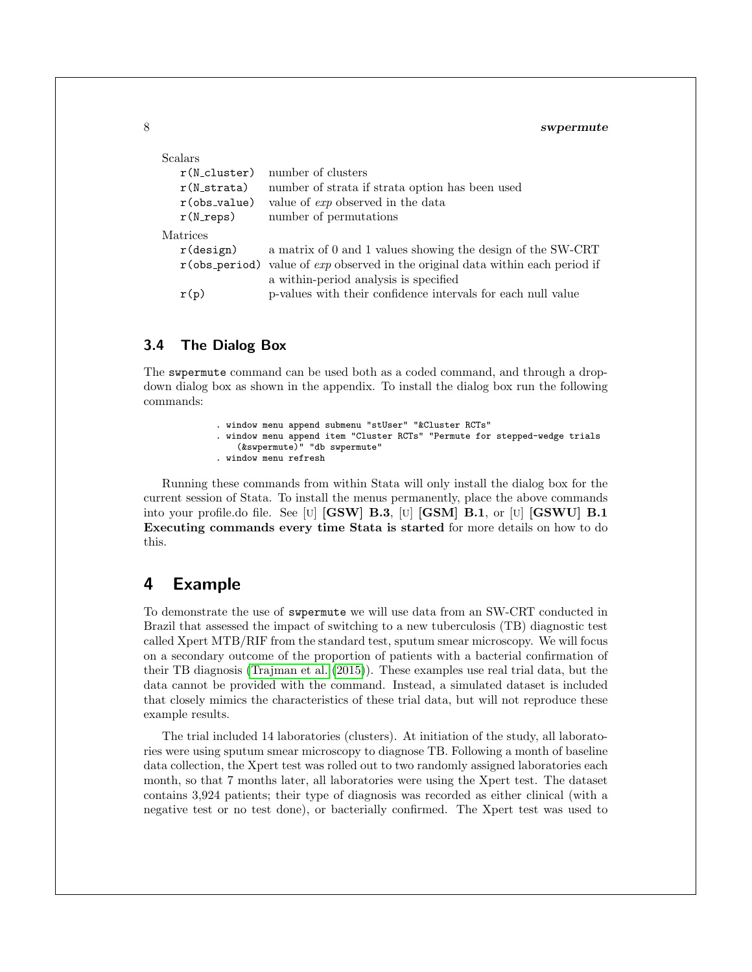| Scalars              |                                                                                           |
|----------------------|-------------------------------------------------------------------------------------------|
| $r(N_c)$ luster)     | number of clusters                                                                        |
| $r(N_$ strata)       | number of strata if strata option has been used                                           |
| $r$ (obs_value)      | value of <i>exp</i> observed in the data                                                  |
| $r(N_{\text{reps}})$ | number of permutations                                                                    |
| Matrices             |                                                                                           |
| $r$ (design)         | a matrix of 0 and 1 values showing the design of the SW-CRT                               |
|                      | $r(\text{obs-period})$ value of $exp$ observed in the original data within each period if |
|                      | a within-period analysis is specified                                                     |
| r(p)                 | p-values with their confidence intervals for each null value                              |

## 3.4 The Dialog Box

The swpermute command can be used both as a coded command, and through a dropdown dialog box as shown in the appendix. To install the dialog box run the following commands:

- . window menu append submenu "stUser" "&Cluster RCTs"
- . window menu append item "Cluster RCTs" "Permute for stepped-wedge trials (&swpermute)" "db swpermute"
- . window menu refresh

Running these commands from within Stata will only install the dialog box for the current session of Stata. To install the menus permanently, place the above commands into your profile.do file. See [U] [GSW] B.3, [U] [GSM] B.1, or [U] [GSWU] B.1 Executing commands every time Stata is started for more details on how to do this.

## <span id="page-7-0"></span>4 Example

To demonstrate the use of swpermute we will use data from an SW-CRT conducted in Brazil that assessed the impact of switching to a new tuberculosis (TB) diagnostic test called Xpert MTB/RIF from the standard test, sputum smear microscopy. We will focus on a secondary outcome of the proportion of patients with a bacterial confirmation of their TB diagnosis [\(Trajman et al.](#page-14-3) [\(2015\)](#page-14-3)). These examples use real trial data, but the data cannot be provided with the command. Instead, a simulated dataset is included that closely mimics the characteristics of these trial data, but will not reproduce these example results.

The trial included 14 laboratories (clusters). At initiation of the study, all laboratories were using sputum smear microscopy to diagnose TB. Following a month of baseline data collection, the Xpert test was rolled out to two randomly assigned laboratories each month, so that 7 months later, all laboratories were using the Xpert test. The dataset contains 3,924 patients; their type of diagnosis was recorded as either clinical (with a negative test or no test done), or bacterially confirmed. The Xpert test was used to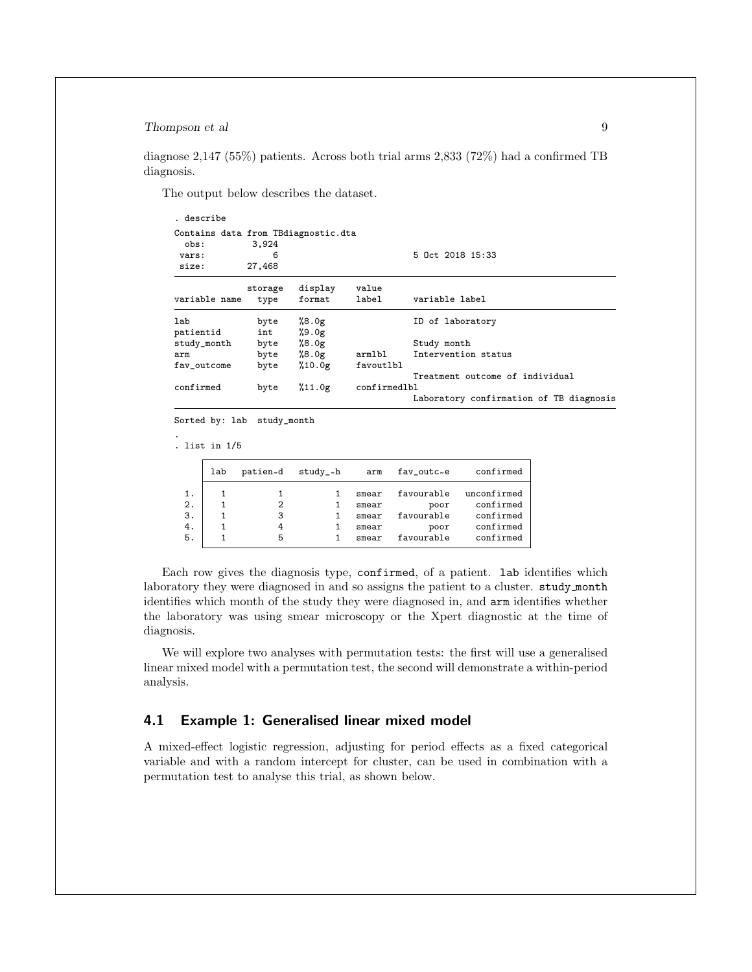diagnose 2,147 (55%) patients. Across both trial arms 2,833 (72%) had a confirmed TB diagnosis.

The output below describes the dataset.

| Contains data from TBdiagnostic.dta |         |         |              |                                         |
|-------------------------------------|---------|---------|--------------|-----------------------------------------|
| obs:                                | 3,924   |         |              |                                         |
| vars:                               | 6       |         |              | 5 Oct 2018 15:33                        |
| size:                               | 27,468  |         |              |                                         |
|                                     | storage | display | value        |                                         |
| variable name                       | type    | format  | label        | variable label                          |
| lab                                 | byte    | %8.0g   |              | ID of laboratory                        |
| patientid                           | int     | %9.0g   |              |                                         |
| study_month                         | byte    | %8.0g   |              | Study month                             |
| arm                                 | byte    | %8.0g   | armlbl       | Intervention status                     |
| fav outcome                         | byte    | %10.0g  | favoutlbl    |                                         |
|                                     |         |         |              | Treatment outcome of individual         |
| confirmed                           | byte    | %11.0g  | confirmedlbl |                                         |
|                                     |         |         |              | Laboratory confirmation of TB diagnosis |

Sorted by: lab study\_month

. list in 1/5

.

|    | lab | patien~d | $study - h$ | arm   | fav_outc~e | confirmed   |
|----|-----|----------|-------------|-------|------------|-------------|
| 1. |     |          |             | smear | favourable | unconfirmed |
| 2. |     | 2        |             | smear | poor       | confirmed   |
| 3. |     | 3        |             | smear | favourable | confirmed   |
| 4. |     | 4        |             | smear | poor       | confirmed   |
| 5. |     | 5        |             | smear | favourable | confirmed   |

Each row gives the diagnosis type, confirmed, of a patient. lab identifies which laboratory they were diagnosed in and so assigns the patient to a cluster. study month identifies which month of the study they were diagnosed in, and arm identifies whether the laboratory was using smear microscopy or the Xpert diagnostic at the time of diagnosis.

We will explore two analyses with permutation tests: the first will use a generalised linear mixed model with a permutation test, the second will demonstrate a within-period analysis.

#### 4.1 Example 1: Generalised linear mixed model

A mixed-effect logistic regression, adjusting for period effects as a fixed categorical variable and with a random intercept for cluster, can be used in combination with a permutation test to analyse this trial, as shown below.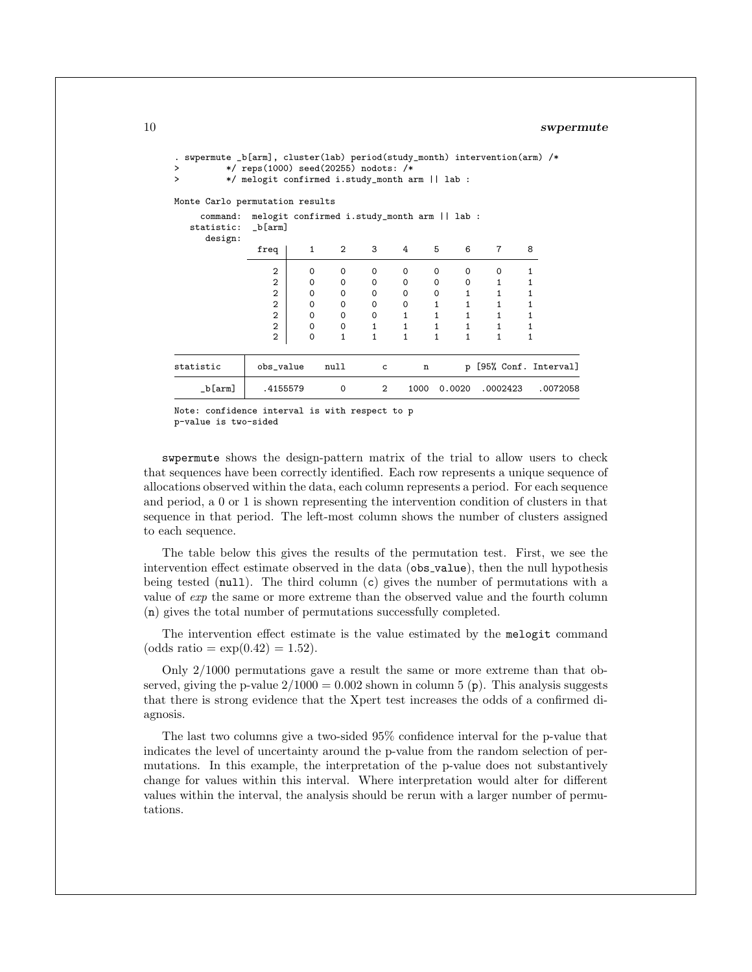```
. swpermute _b[arm], cluster(lab) period(study_month) intervention(arm) /*<br>> */ reps(1000) seed(20255) nodots: /*
       > */ reps(1000) seed(20255) nodots: /*
       > */ melogit confirmed i.study_month arm || lab :
Monte Carlo permutation results
   command: melogit confirmed i.study_month arm || lab :
  statistic: _b[arm]
    design:
           freq 1 2 3 4 5 6 7 8
             2 0 0 0 0 0 0 0 1
             2 0 0 0 0 0 0 1 1
             2 0 0 0 0 0 1 1 1
             2 0 0 0 0 1 1 1 1
             2 0 0 0 1 1 1 1 1
             2 0 0 1 1 1 1 1 1
             2 0 1 1 1 1 1 1 1
statistic | obs_value  null  c  n  p [95% Conf. Interval]
   _b[arm] .4155579 0 2 1000 0.0020 .0002423 .0072058
```
Note: confidence interval is with respect to p p-value is two-sided

swpermute shows the design-pattern matrix of the trial to allow users to check that sequences have been correctly identified. Each row represents a unique sequence of allocations observed within the data, each column represents a period. For each sequence and period, a 0 or 1 is shown representing the intervention condition of clusters in that sequence in that period. The left-most column shows the number of clusters assigned to each sequence.

The table below this gives the results of the permutation test. First, we see the intervention effect estimate observed in the data (obs value), then the null hypothesis being tested (null). The third column  $(c)$  gives the number of permutations with a value of exp the same or more extreme than the observed value and the fourth column (n) gives the total number of permutations successfully completed.

The intervention effect estimate is the value estimated by the melogit command (odds ratio =  $\exp(0.42) = 1.52$ ).

Only 2/1000 permutations gave a result the same or more extreme than that observed, giving the p-value  $2/1000 = 0.002$  shown in column 5 (p). This analysis suggests that there is strong evidence that the Xpert test increases the odds of a confirmed diagnosis.

The last two columns give a two-sided 95% confidence interval for the p-value that indicates the level of uncertainty around the p-value from the random selection of permutations. In this example, the interpretation of the p-value does not substantively change for values within this interval. Where interpretation would alter for different values within the interval, the analysis should be rerun with a larger number of permutations.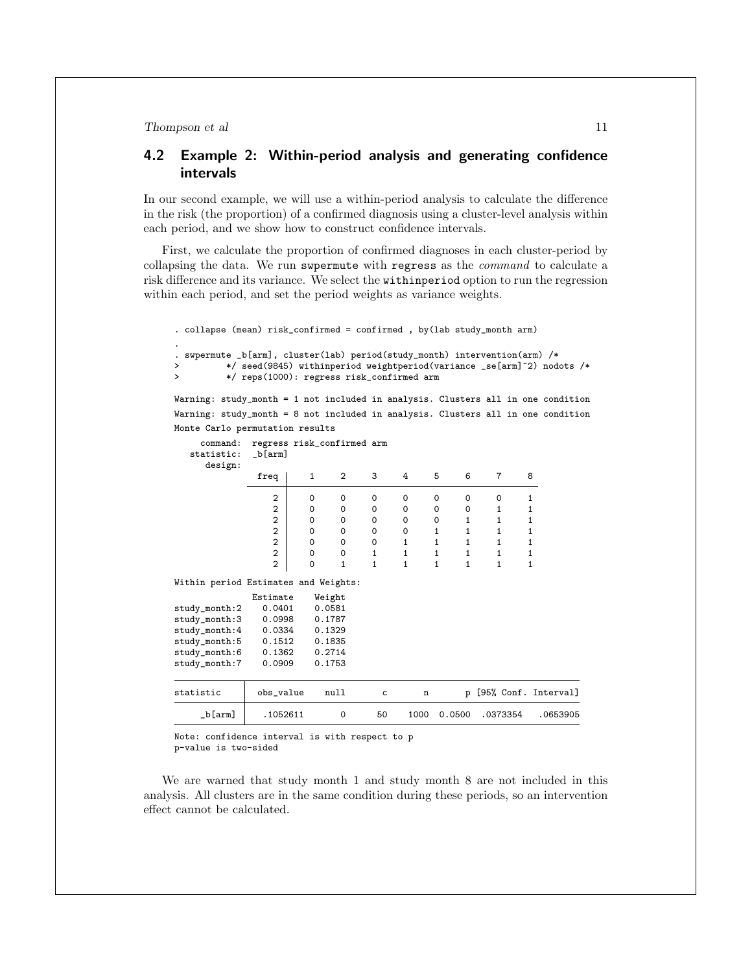### <span id="page-10-0"></span>4.2 Example 2: Within-period analysis and generating confidence intervals

In our second example, we will use a within-period analysis to calculate the difference in the risk (the proportion) of a confirmed diagnosis using a cluster-level analysis within each period, and we show how to construct confidence intervals.

First, we calculate the proportion of confirmed diagnoses in each cluster-period by collapsing the data. We run swpermute with regress as the command to calculate a risk difference and its variance. We select the withinperiod option to run the regression within each period, and set the period weights as variance weights.

| . collapse (mean) risk_confirmed = confirmed, by(lab study_month arm)                           |                                           |              |              |              |              |              |              |              |              |                                                                        |
|-------------------------------------------------------------------------------------------------|-------------------------------------------|--------------|--------------|--------------|--------------|--------------|--------------|--------------|--------------|------------------------------------------------------------------------|
| swpermute _b[arm], cluster(lab) period(study_month) intervention(arm) /*<br>$\bullet$<br>><br>> | */ reps(1000): regress risk_confirmed arm |              |              |              |              |              |              |              |              | */ seed(9845) withinperiod weightperiod(variance _se[arm]^2) nodots /* |
| Warning: study_month = 1 not included in analysis. Clusters all in one condition                |                                           |              |              |              |              |              |              |              |              |                                                                        |
| Warning: study_month = 8 not included in analysis. Clusters all in one condition                |                                           |              |              |              |              |              |              |              |              |                                                                        |
| Monte Carlo permutation results                                                                 |                                           |              |              |              |              |              |              |              |              |                                                                        |
| command:<br>statistic:<br>design:                                                               | regress risk_confirmed arm<br>$_b[arm]$   |              |              |              |              |              |              |              |              |                                                                        |
|                                                                                                 | freq                                      | $\mathbf{1}$ | 2            | 3            | 4            | 5            | 6            | 7            | 8            |                                                                        |
|                                                                                                 | $\mathbf{2}$                              | 0            | 0            | 0            | 0            | 0            | $\mathbf 0$  | 0            | 1            |                                                                        |
|                                                                                                 | $\overline{2}$                            | 0            | 0            | 0            | 0            | 0            | 0            | $\mathbf{1}$ | $\mathbf{1}$ |                                                                        |
|                                                                                                 | $\overline{2}$                            | 0            | 0            | 0            | 0            | 0            | $\mathbf{1}$ | $\mathbf{1}$ | 1            |                                                                        |
|                                                                                                 | $\overline{2}$                            | 0            | 0            | 0            | 0            | $\mathbf{1}$ | $\mathbf{1}$ | $\mathbf{1}$ | $\mathbf{1}$ |                                                                        |
|                                                                                                 | $\overline{2}$                            | 0            | 0            | 0            | $\mathbf{1}$ | $\mathbf{1}$ | $\mathbf{1}$ | $\mathbf{1}$ | 1            |                                                                        |
|                                                                                                 | $\overline{2}$                            | $\mathbf 0$  | 0            | 1            | $\mathbf{1}$ | $\mathbf{1}$ | $\mathbf{1}$ | $\mathbf{1}$ | $\mathbf{1}$ |                                                                        |
|                                                                                                 | $\overline{2}$                            | $\mathbf 0$  | $\mathbf{1}$ | $\mathbf{1}$ | $\mathbf{1}$ | $\mathbf{1}$ | $\mathbf{1}$ | $\mathbf{1}$ | $\mathbf{1}$ |                                                                        |
| Within period Estimates and Weights:                                                            |                                           |              |              |              |              |              |              |              |              |                                                                        |
|                                                                                                 | Estimate                                  |              | Weight       |              |              |              |              |              |              |                                                                        |
| study_month:2                                                                                   | 0.0401                                    |              | 0.0581       |              |              |              |              |              |              |                                                                        |
| study_month:3                                                                                   | 0.0998                                    |              | 0.1787       |              |              |              |              |              |              |                                                                        |
| study_month:4                                                                                   | 0.0334                                    |              | 0.1329       |              |              |              |              |              |              |                                                                        |
| study_month:5                                                                                   | 0.1512                                    |              | 0.1835       |              |              |              |              |              |              |                                                                        |
| study_month:6                                                                                   | 0.1362                                    |              | 0.2714       |              |              |              |              |              |              |                                                                        |
| study_month:7                                                                                   | 0.0909                                    |              | 0.1753       |              |              |              |              |              |              |                                                                        |
| statistic                                                                                       | obs_value                                 |              | null         | c            | n            |              |              |              |              | p [95% Conf. Interval]                                                 |
| $_b[arm]$                                                                                       | .1052611                                  |              | $\Omega$     | 50           | 1000         |              | 0.0500       | .0373354     |              | .0653905                                                               |

Note: confidence interval is with respect to p p-value is two-sided

We are warned that study month 1 and study month 8 are not included in this analysis. All clusters are in the same condition during these periods, so an intervention effect cannot be calculated.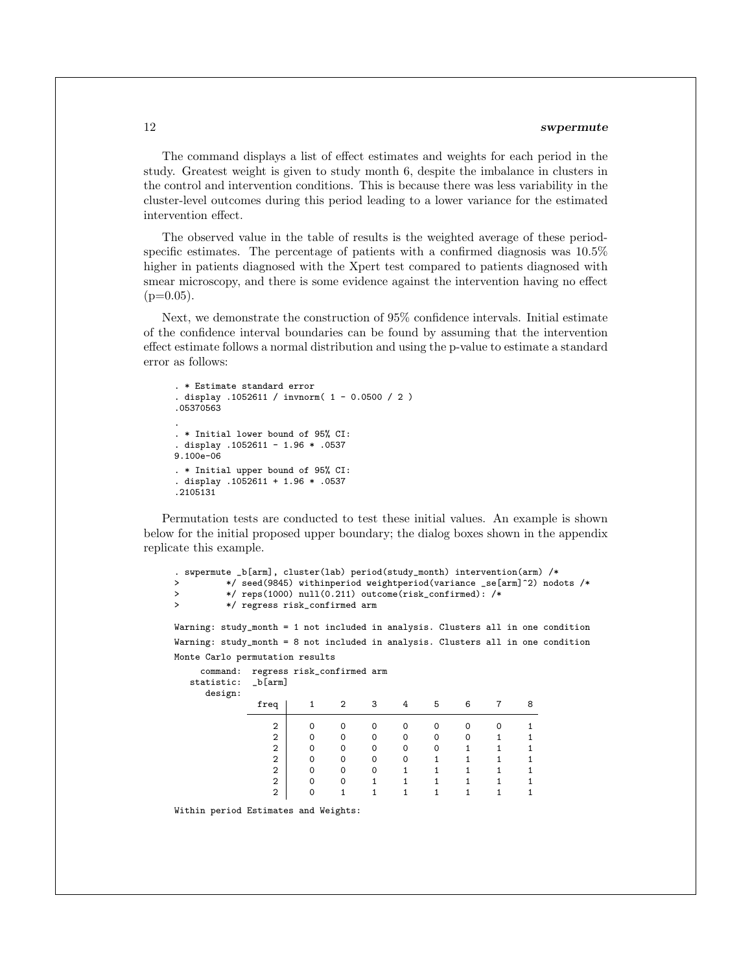The command displays a list of effect estimates and weights for each period in the study. Greatest weight is given to study month 6, despite the imbalance in clusters in the control and intervention conditions. This is because there was less variability in the cluster-level outcomes during this period leading to a lower variance for the estimated intervention effect.

The observed value in the table of results is the weighted average of these periodspecific estimates. The percentage of patients with a confirmed diagnosis was 10.5% higher in patients diagnosed with the Xpert test compared to patients diagnosed with smear microscopy, and there is some evidence against the intervention having no effect  $(p=0.05)$ .

Next, we demonstrate the construction of 95% confidence intervals. Initial estimate of the confidence interval boundaries can be found by assuming that the intervention effect estimate follows a normal distribution and using the p-value to estimate a standard error as follows:

```
. * Estimate standard error
. display .1052611 / invnorm( 1 - 0.0500 / 2 )
.05370563
.
. * Initial lower bound of 95% CI:
. display .1052611 - 1.96 * .0537
9.100e-06
. * Initial upper bound of 95% CI:
. display .1052611 + 1.96 * .0537
.2105131
```
Permutation tests are conducted to test these initial values. An example is shown below for the initial proposed upper boundary; the dialog boxes shown in the appendix replicate this example.

```
. swpermute _b[arm], cluster(lab) period(study_month) intervention(arm) /*
> */ seed(9845) withinperiod weightperiod(variance _se[arm]^2) nodots /*
> */ reps(1000) null(0.211) outcome(risk_confirmed): /*
         > */ regress risk_confirmed arm
```
Warning: study\_month = 1 not included in analysis. Clusters all in one condition Warning: study\_month = 8 not included in analysis. Clusters all in one condition Monte Carlo permutation results

| freq           |          | 2         | 3 | 4                          | 5 | 6 |   | 8 |
|----------------|----------|-----------|---|----------------------------|---|---|---|---|
| $\mathbf{2}$   | Ω        | 0         | 0 | 0                          | 0 | 0 | O |   |
| 2              | Ω        | 0         | 0 | 0                          | 0 | 0 |   |   |
| 2              | $\Omega$ | 0         | 0 | $\Omega$                   | 0 |   |   |   |
| $\overline{2}$ | ∩        | 0         | 0 |                            |   |   |   |   |
| $\overline{2}$ | ∩        | 0         | 0 |                            |   |   |   |   |
| $\overline{2}$ | ∩        | 0         |   |                            |   |   |   |   |
| $\overline{2}$ |          |           |   |                            |   |   |   |   |
|                |          | $_b[arm]$ |   | regress risk_confirmed arm |   |   |   |   |

Within period Estimates and Weights: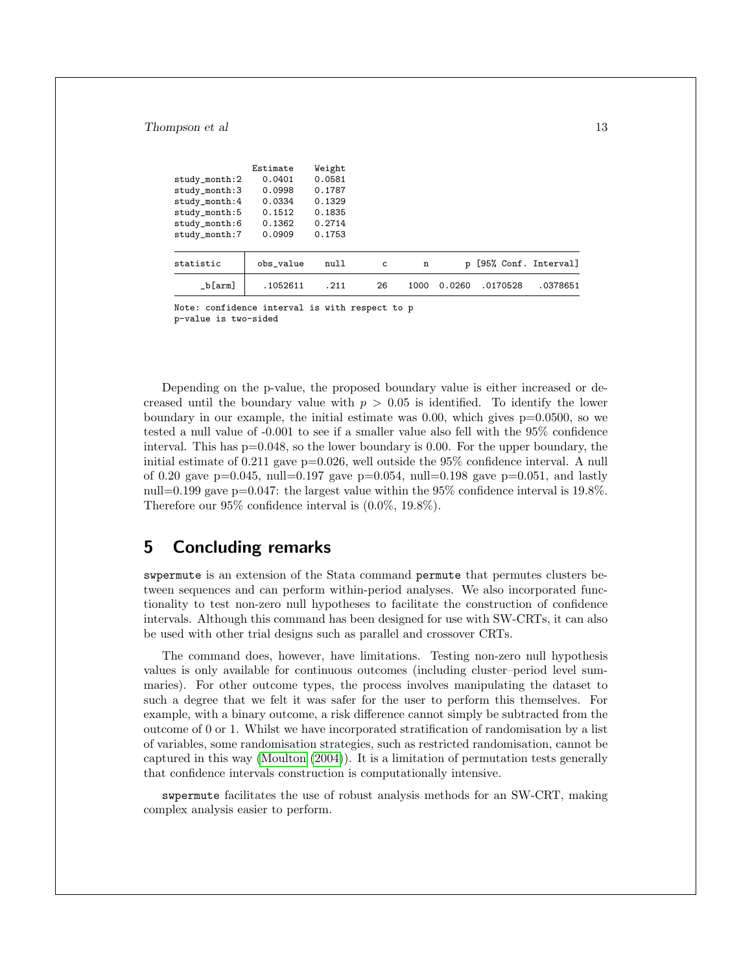|               | Estimate  | Weight |    |      |              |          |                      |
|---------------|-----------|--------|----|------|--------------|----------|----------------------|
| study_month:2 | 0.0401    | 0.0581 |    |      |              |          |                      |
| study_month:3 | 0.0998    | 0.1787 |    |      |              |          |                      |
| study_month:4 | 0.0334    | 0.1329 |    |      |              |          |                      |
| study_month:5 | 0.1512    | 0.1835 |    |      |              |          |                      |
| study_month:6 | 0.1362    | 0.2714 |    |      |              |          |                      |
| study_month:7 | 0.0909    | 0.1753 |    |      |              |          |                      |
| statistic     | obs value | null   | c  | n    | $\mathbf{D}$ |          | [95% Conf. Interval] |
| $_b[arm]$     | .1052611  | .211   | 26 | 1000 | 0.0260       | .0170528 | .0378651             |

Note: confidence interval is with respect to p p-value is two-sided

Depending on the p-value, the proposed boundary value is either increased or decreased until the boundary value with  $p > 0.05$  is identified. To identify the lower boundary in our example, the initial estimate was 0.00, which gives p=0.0500, so we tested a null value of -0.001 to see if a smaller value also fell with the 95% confidence interval. This has  $p=0.048$ , so the lower boundary is 0.00. For the upper boundary, the initial estimate of  $0.211$  gave p=0.026, well outside the 95% confidence interval. A null of 0.20 gave  $p=0.045$ , null=0.197 gave  $p=0.054$ , null=0.198 gave  $p=0.051$ , and lastly null=0.199 gave p=0.047: the largest value within the  $95\%$  confidence interval is 19.8%. Therefore our 95% confidence interval is (0.0%, 19.8%).

## 5 Concluding remarks

swpermute is an extension of the Stata command permute that permutes clusters between sequences and can perform within-period analyses. We also incorporated functionality to test non-zero null hypotheses to facilitate the construction of confidence intervals. Although this command has been designed for use with SW-CRTs, it can also be used with other trial designs such as parallel and crossover CRTs.

The command does, however, have limitations. Testing non-zero null hypothesis values is only available for continuous outcomes (including cluster–period level summaries). For other outcome types, the process involves manipulating the dataset to such a degree that we felt it was safer for the user to perform this themselves. For example, with a binary outcome, a risk difference cannot simply be subtracted from the outcome of 0 or 1. Whilst we have incorporated stratification of randomisation by a list of variables, some randomisation strategies, such as restricted randomisation, cannot be captured in this way [\(Moulton](#page-13-10) [\(2004\)](#page-13-10)). It is a limitation of permutation tests generally that confidence intervals construction is computationally intensive.

swpermute facilitates the use of robust analysis methods for an SW-CRT, making complex analysis easier to perform.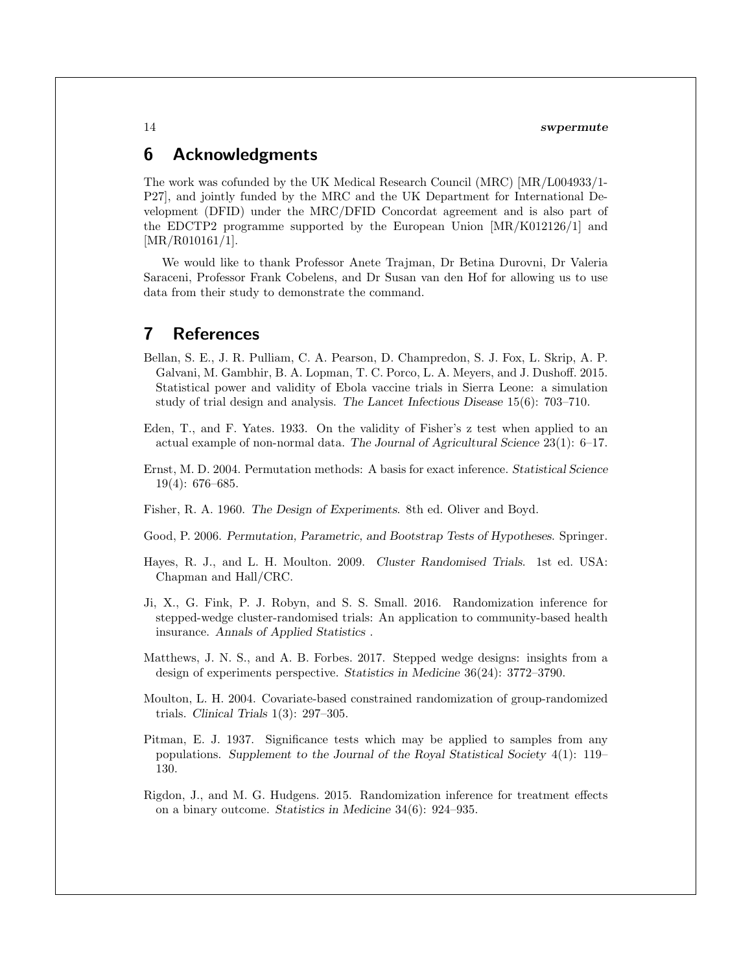## 6 Acknowledgments

The work was cofunded by the UK Medical Research Council (MRC) [MR/L004933/1- P27], and jointly funded by the MRC and the UK Department for International Development (DFID) under the MRC/DFID Concordat agreement and is also part of the EDCTP2 programme supported by the European Union [MR/K012126/1] and [MR/R010161/1].

We would like to thank Professor Anete Trajman, Dr Betina Durovni, Dr Valeria Saraceni, Professor Frank Cobelens, and Dr Susan van den Hof for allowing us to use data from their study to demonstrate the command.

## 7 References

- <span id="page-13-8"></span>Bellan, S. E., J. R. Pulliam, C. A. Pearson, D. Champredon, S. J. Fox, L. Skrip, A. P. Galvani, M. Gambhir, B. A. Lopman, T. C. Porco, L. A. Meyers, and J. Dushoff. 2015. Statistical power and validity of Ebola vaccine trials in Sierra Leone: a simulation study of trial design and analysis. The Lancet Infectious Disease 15(6): 703–710.
- <span id="page-13-1"></span>Eden, T., and F. Yates. 1933. On the validity of Fisher's z test when applied to an actual example of non-normal data. The Journal of Agricultural Science 23(1): 6–17.
- <span id="page-13-3"></span>Ernst, M. D. 2004. Permutation methods: A basis for exact inference. Statistical Science 19(4): 676–685.
- <span id="page-13-2"></span>Fisher, R. A. 1960. The Design of Experiments. 8th ed. Oliver and Boyd.
- <span id="page-13-6"></span>Good, P. 2006. Permutation, Parametric, and Bootstrap Tests of Hypotheses. Springer.
- <span id="page-13-4"></span>Hayes, R. J., and L. H. Moulton. 2009. Cluster Randomised Trials. 1st ed. USA: Chapman and Hall/CRC.
- <span id="page-13-5"></span>Ji, X., G. Fink, P. J. Robyn, and S. S. Small. 2016. Randomization inference for stepped-wedge cluster-randomised trials: An application to community-based health insurance. Annals of Applied Statistics .
- <span id="page-13-9"></span>Matthews, J. N. S., and A. B. Forbes. 2017. Stepped wedge designs: insights from a design of experiments perspective. Statistics in Medicine 36(24): 3772–3790.
- <span id="page-13-10"></span>Moulton, L. H. 2004. Covariate-based constrained randomization of group-randomized trials. Clinical Trials 1(3): 297–305.
- <span id="page-13-0"></span>Pitman, E. J. 1937. Significance tests which may be applied to samples from any populations. Supplement to the Journal of the Royal Statistical Society 4(1): 119– 130.
- <span id="page-13-7"></span>Rigdon, J., and M. G. Hudgens. 2015. Randomization inference for treatment effects on a binary outcome. Statistics in Medicine 34(6): 924–935.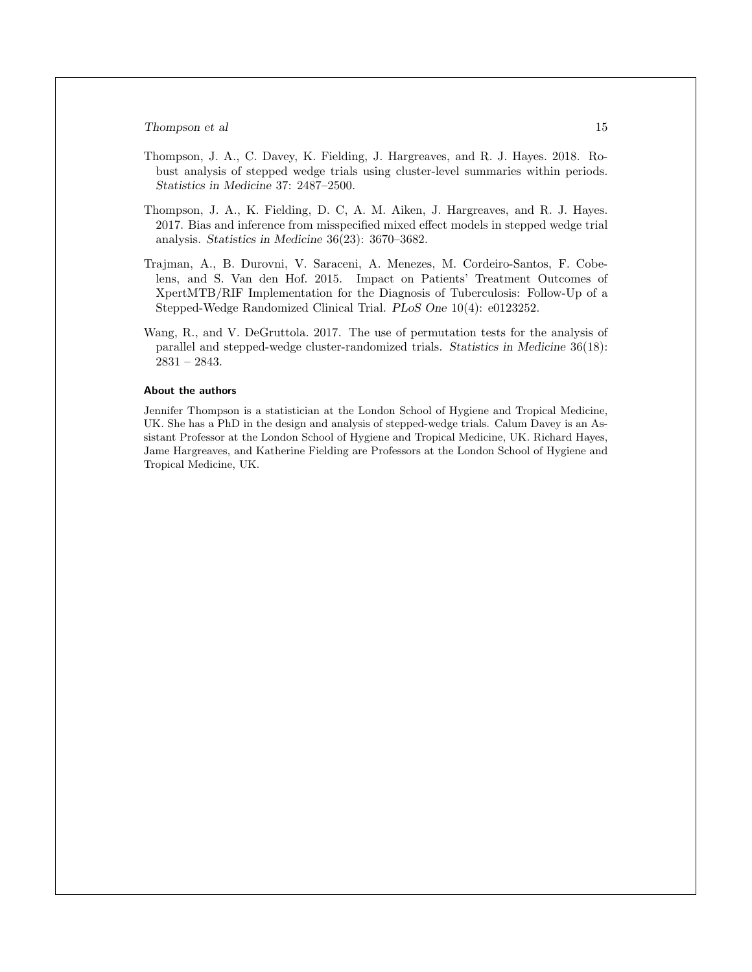- <span id="page-14-1"></span>Thompson, J. A., C. Davey, K. Fielding, J. Hargreaves, and R. J. Hayes. 2018. Robust analysis of stepped wedge trials using cluster-level summaries within periods. Statistics in Medicine 37: 2487–2500.
- <span id="page-14-0"></span>Thompson, J. A., K. Fielding, D. C, A. M. Aiken, J. Hargreaves, and R. J. Hayes. 2017. Bias and inference from misspecified mixed effect models in stepped wedge trial analysis. Statistics in Medicine 36(23): 3670–3682.
- <span id="page-14-3"></span>Trajman, A., B. Durovni, V. Saraceni, A. Menezes, M. Cordeiro-Santos, F. Cobelens, and S. Van den Hof. 2015. Impact on Patients' Treatment Outcomes of XpertMTB/RIF Implementation for the Diagnosis of Tuberculosis: Follow-Up of a Stepped-Wedge Randomized Clinical Trial. PLoS One 10(4): e0123252.
- <span id="page-14-2"></span>Wang, R., and V. DeGruttola. 2017. The use of permutation tests for the analysis of parallel and stepped-wedge cluster-randomized trials. Statistics in Medicine 36(18): 2831 – 2843.

#### About the authors

Jennifer Thompson is a statistician at the London School of Hygiene and Tropical Medicine, UK. She has a PhD in the design and analysis of stepped-wedge trials. Calum Davey is an Assistant Professor at the London School of Hygiene and Tropical Medicine, UK. Richard Hayes, Jame Hargreaves, and Katherine Fielding are Professors at the London School of Hygiene and Tropical Medicine, UK.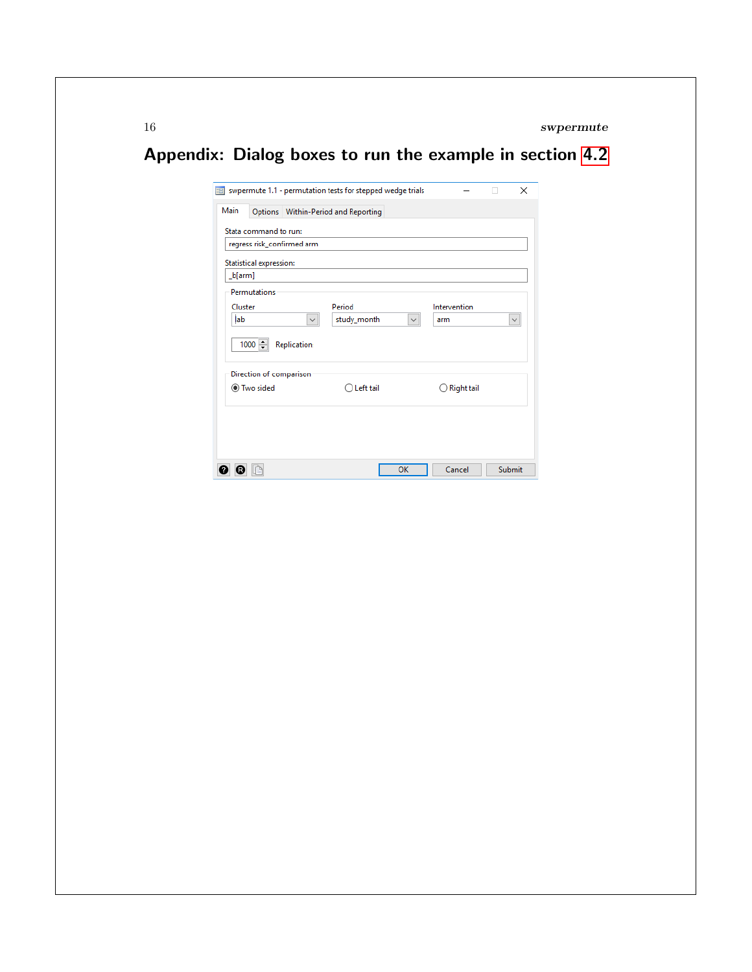# Appendix: Dialog boxes to run the example in section [4.2](#page-10-0)

| Main                           |                     | Options   Within-Period and Reporting |              |                   |              |
|--------------------------------|---------------------|---------------------------------------|--------------|-------------------|--------------|
|                                |                     |                                       |              |                   |              |
| Stata command to run:          |                     |                                       |              |                   |              |
| regress risk_confirmed arm     |                     |                                       |              |                   |              |
| <b>Statistical expression:</b> |                     |                                       |              |                   |              |
| [b[arm]                        |                     |                                       |              |                   |              |
| Permutations                   |                     |                                       |              |                   |              |
| Cluster                        |                     | Period                                |              | Intervention      |              |
| lab                            | $\checkmark$        | study_month                           | $\checkmark$ | arm               | $\checkmark$ |
|                                |                     |                                       |              |                   |              |
| $1000 \div$                    | <b>Replication:</b> |                                       |              |                   |              |
| Direction of comparison        |                     |                                       |              |                   |              |
| ● Two sided                    |                     | Left tail                             |              | <b>Right tail</b> |              |
|                                |                     |                                       |              |                   |              |